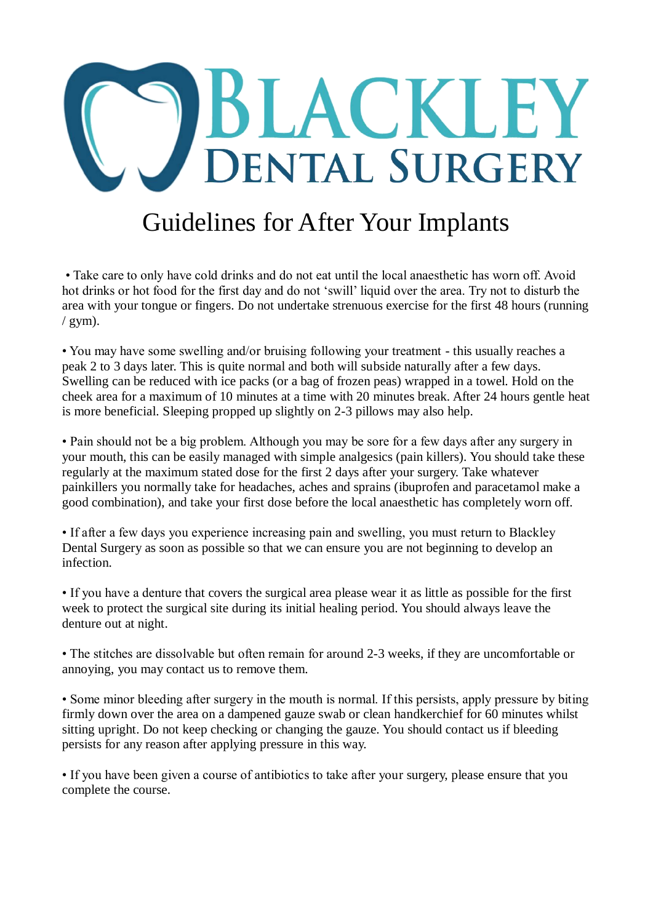

## Guidelines for After Your Implants

• Take care to only have cold drinks and do not eat until the local anaesthetic has worn off. Avoid hot drinks or hot food for the first day and do not 'swill' liquid over the area. Try not to disturb the area with your tongue or fingers. Do not undertake strenuous exercise for the first 48 hours (running  $/$  gym).

• You may have some swelling and/or bruising following your treatment - this usually reaches a peak 2 to 3 days later. This is quite normal and both will subside naturally after a few days. Swelling can be reduced with ice packs (or a bag of frozen peas) wrapped in a towel. Hold on the cheek area for a maximum of 10 minutes at a time with 20 minutes break. After 24 hours gentle heat is more beneficial. Sleeping propped up slightly on 2-3 pillows may also help.

• Pain should not be a big problem. Although you may be sore for a few days after any surgery in your mouth, this can be easily managed with simple analgesics (pain killers). You should take these regularly at the maximum stated dose for the first 2 days after your surgery. Take whatever painkillers you normally take for headaches, aches and sprains (ibuprofen and paracetamol make a good combination), and take your first dose before the local anaesthetic has completely worn off.

• If after a few days you experience increasing pain and swelling, you must return to Blackley Dental Surgery as soon as possible so that we can ensure you are not beginning to develop an infection.

• If you have a denture that covers the surgical area please wear it as little as possible for the first week to protect the surgical site during its initial healing period. You should always leave the denture out at night.

• The stitches are dissolvable but often remain for around 2-3 weeks, if they are uncomfortable or annoying, you may contact us to remove them.

• Some minor bleeding after surgery in the mouth is normal. If this persists, apply pressure by biting firmly down over the area on a dampened gauze swab or clean handkerchief for 60 minutes whilst sitting upright. Do not keep checking or changing the gauze. You should contact us if bleeding persists for any reason after applying pressure in this way.

• If you have been given a course of antibiotics to take after your surgery, please ensure that you complete the course.